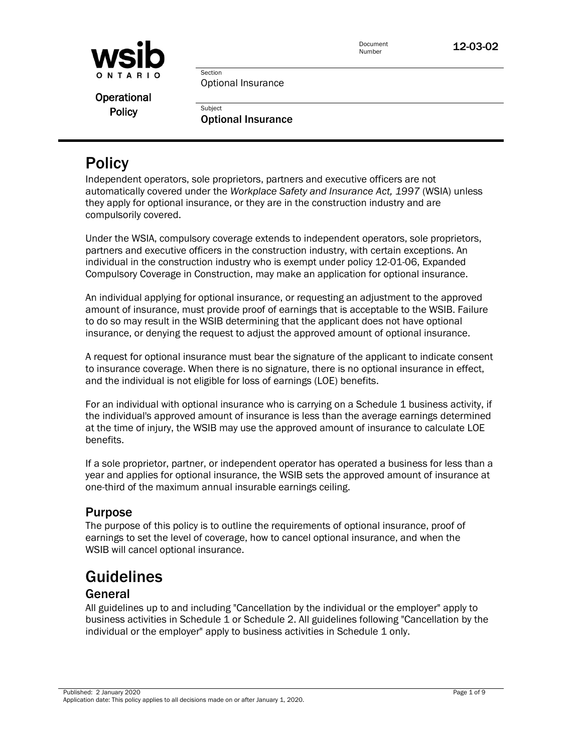

12-03-02

Optional Insurance

Section

**Subject** 

Operational **Policy** 

Optional Insurance

# **Policy**

Independent operators, sole proprietors, partners and executive officers are not automatically covered under the *Workplace Safety and Insurance Act, 1997* (WSIA) unless they apply for optional insurance, or they are in the construction industry and are compulsorily covered.

Under the WSIA, compulsory coverage extends to independent operators, sole proprietors, partners and executive officers in the construction industry, with certain exceptions. An individual in the construction industry who is exempt under policy [12-01-06, Expanded](http://www.wsib.on.ca/WSIBPortal/faces/WSIBManualPage?cGUID=12-01-06&rDef=WSIB_RD_OPM&fGUID=835502100635000482)  [Compulsory Coverage in Construction,](http://www.wsib.on.ca/WSIBPortal/faces/WSIBManualPage?cGUID=12-01-06&rDef=WSIB_RD_OPM&fGUID=835502100635000482) may make an application for optional insurance.

An individual applying for optional insurance, or requesting an adjustment to the approved amount of insurance, must provide proof of earnings that is acceptable to the WSIB. Failure to do so may result in the WSIB determining that the applicant does not have optional insurance, or denying the request to adjust the approved amount of optional insurance.

A request for optional insurance must bear the signature of the applicant to indicate consent to insurance coverage. When there is no signature, there is no optional insurance in effect, and the individual is not eligible for loss of earnings (LOE) benefits.

For an individual with optional insurance who is carrying on a Schedule 1 business activity, if the individual's approved amount of insurance is less than the average earnings determined at the time of injury, the WSIB may use the approved amount of insurance to calculate LOE benefits.

If a sole proprietor, partner, or independent operator has operated a business for less than a year and applies for optional insurance, the WSIB sets the approved amount of insurance at one-third of the maximum annual insurable earnings ceiling.

### Purpose

The purpose of this policy is to outline the requirements of optional insurance, proof of earnings to set the level of coverage, how to cancel optional insurance, and when the WSIB will cancel optional insurance.

# **Guidelines**

### General

All guidelines up to and including "Cancellation by the individual or the employer" apply to business activities in Schedule 1 or Schedule 2. All guidelines following "Cancellation by the individual or the employer" apply to business activities in Schedule 1 only.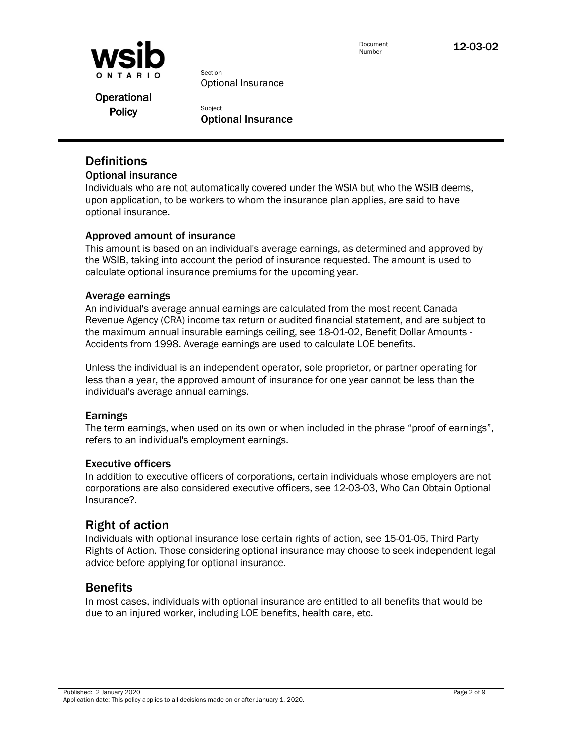

12-03-02

Optional Insurance

Section

**Subject** 

Operational **Policy** 

Optional Insurance

### **Definitions**

#### Optional insurance

Individuals who are not automatically covered under the WSIA but who the WSIB deems, upon application, to be workers to whom the insurance plan applies, are said to have optional insurance.

### Approved amount of insurance

This amount is based on an individual's average earnings, as determined and approved by the WSIB, taking into account the period of insurance requested. The amount is used to calculate optional insurance premiums for the upcoming year.

#### Average earnings

An individual's average annual earnings are calculated from the most recent Canada Revenue Agency (CRA) income tax return or audited financial statement, and are subject to the maximum annual insurable earnings ceiling, see [18-01-02, Benefit Dollar Amounts](http://www.wsib.on.ca/WSIBPortal/faces/WSIBManualPage?cGUID=18-01-02&rDef=WSIB_RD_OPM&fGUID=835502100635000515) - Accidents from 1998. Average earnings are used to calculate LOE benefits.

Unless the individual is an independent operator, sole proprietor, or partner operating for less than a year, the approved amount of insurance for one year cannot be less than the individual's average annual earnings.

#### Earnings

The term earnings, when used on its own or when included in the phrase "proof of earnings", refers to an individual's employment earnings.

#### Executive officers

In addition to executive officers of corporations, certain individuals whose employers are not corporations are also considered executive officers, see [12-03-03, Who Can Obtain Optional](http://www.wsib.on.ca/WSIBPortal/faces/WSIBManualPage?cGUID=12-03-03&rDef=WSIB_RD_OPM&fGUID=835502100635000484)  [Insurance?.](http://www.wsib.on.ca/WSIBPortal/faces/WSIBManualPage?cGUID=12-03-03&rDef=WSIB_RD_OPM&fGUID=835502100635000484)

### Right of action

Individuals with optional insurance lose certain rights of action, see [15-01-05, Third Party](http://www.wsib.on.ca/WSIBPortal/faces/WSIBManualPage?cGUID=15-01-05&rDef=WSIB_RD_OPM&fGUID=835502100635000496)  [Rights of Action.](http://www.wsib.on.ca/WSIBPortal/faces/WSIBManualPage?cGUID=15-01-05&rDef=WSIB_RD_OPM&fGUID=835502100635000496) Those considering optional insurance may choose to seek independent legal advice before applying for optional insurance.

### **Benefits**

In most cases, individuals with optional insurance are entitled to all benefits that would be due to an injured worker, including LOE benefits, health care, etc.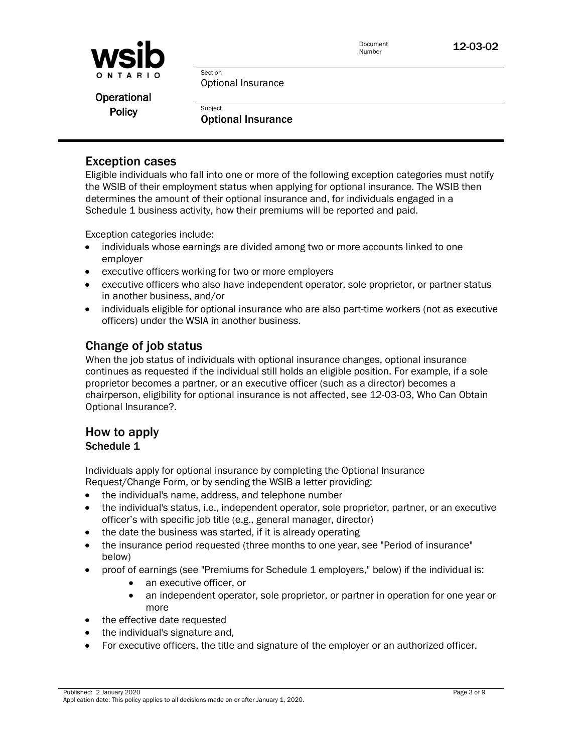

Optional Insurance

Section

**Subject** 

Operational **Policy** 

Optional Insurance

### Exception cases

Eligible individuals who fall into one or more of the following exception categories must notify the WSIB of their employment status when applying for optional insurance. The WSIB then determines the amount of their optional insurance and, for individuals engaged in a Schedule 1 business activity, how their premiums will be reported and paid.

Exception categories include:

- individuals whose earnings are divided among two or more accounts linked to one employer
- executive officers working for two or more employers
- executive officers who also have independent operator, sole proprietor, or partner status in another business, and/or
- individuals eligible for optional insurance who are also part-time workers (not as executive officers) under the WSIA in another business.

### Change of job status

When the job status of individuals with optional insurance changes, optional insurance continues as requested if the individual still holds an eligible position. For example, if a sole proprietor becomes a partner, or an executive officer (such as a director) becomes a chairperson, eligibility for optional insurance is not affected, see [12-03-03, Who Can Obtain](http://www.wsib.on.ca/WSIBPortal/faces/WSIBManualPage?cGUID=12-03-03&rDef=WSIB_RD_OPM&fGUID=835502100635000484)  [Optional Insurance?.](http://www.wsib.on.ca/WSIBPortal/faces/WSIBManualPage?cGUID=12-03-03&rDef=WSIB_RD_OPM&fGUID=835502100635000484)

### How to apply Schedule 1

Individuals apply for optional insurance by completing the [Optional Insurance](http://www.wsib.on.ca/cs/idcplg?IdcService=GET_FILE&dDocName=WSIB012465&RevisionSelectionMethod=LatestReleased)  [Request/Change](http://www.wsib.on.ca/cs/idcplg?IdcService=GET_FILE&dDocName=WSIB012465&RevisionSelectionMethod=LatestReleased) Form, or by sending the WSIB a letter providing:

- the individual's name, address, and telephone number
- the individual's status, i.e., independent operator, sole proprietor, partner, or an executive officer's with specific job title (e.g., general manager, director)
- the date the business was started, if it is already operating
- the insurance period requested (three months to one year, see "Period of insurance" below)
- proof of earnings (see "Premiums for Schedule 1 employers," below) if the individual is:
	- an executive officer, or
	- an independent operator, sole proprietor, or partner in operation for one year or more
- the effective date requested
- the individual's signature and,
- For executive officers, the title and signature of the employer or an authorized officer.

Published: 2 January 2020 Page 3 of 9 Application date: This policy applies to all decisions made on or after January 1, 2020.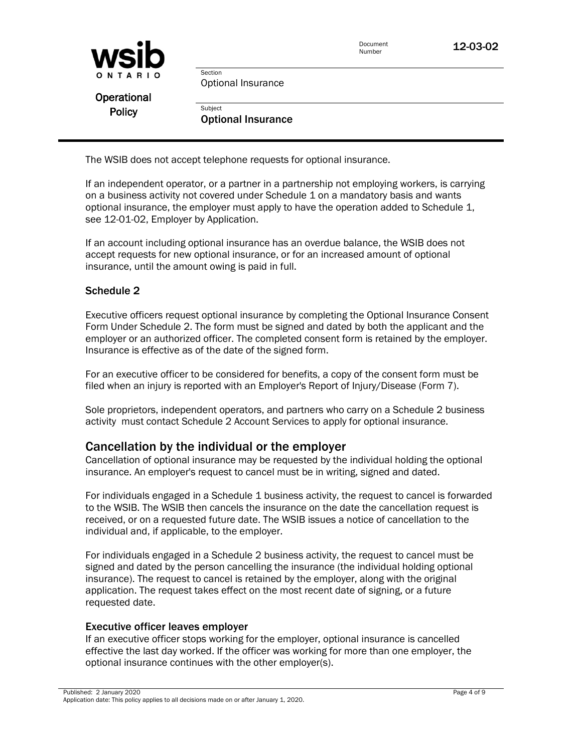| <b>WSID</b>   |                           | Document<br>Number | 12-03-02 |
|---------------|---------------------------|--------------------|----------|
| ONTARIO       | Section                   |                    |          |
|               | Optional Insurance        |                    |          |
| Operational   |                           |                    |          |
| <b>Policy</b> | Subject                   |                    |          |
|               | <b>Optional Insurance</b> |                    |          |

The WSIB does not accept telephone requests for optional insurance.

If an independent operator, or a partner in a partnership not employing workers, is carrying on a business activity not covered under Schedule 1 on a mandatory basis and wants optional insurance, the employer must apply to have the operation added to Schedule 1, see [12-01-02, Employer by Application.](http://www.wsib.on.ca/WSIBPortal/faces/WSIBManualPage?cGUID=12-01-02&rDef=WSIB_RD_OPM&fGUID=835502100635000482)

If an account including optional insurance has an overdue balance, the WSIB does not accept requests for new optional insurance, or for an increased amount of optional insurance, until the amount owing is paid in full.

#### Schedule 2

Executive officers request optional insurance by completing the [Optional Insurance Consent](http://www.wsib.on.ca/cs/idcplg?IdcService=GET_FILE&dDocName=WSIB021026&RevisionSelectionMethod=LatestReleased)  [Form](http://www.wsib.on.ca/cs/idcplg?IdcService=GET_FILE&dDocName=WSIB021026&RevisionSelectionMethod=LatestReleased) Under Schedule 2. The form must be signed and dated by both the applicant and the employer or an authorized officer. The completed consent form is retained by the employer. Insurance is effective as of the date of the signed form.

For an executive officer to be considered for benefits, a copy of the consent form must be filed when an injury is reported with an Employer's Report of Injury/Disease [\(Form 7\)](http://www.wsib.on.ca/cs/idcplg?IdcService=GET_FILE&dDocName=WSIB012386&RevisionSelectionMethod=LatestReleased).

Sole proprietors, independent operators, and partners who carry on a Schedule 2 business activity must contact Schedule 2 Account Services to apply for optional insurance.

### Cancellation by the individual or the employer

Cancellation of optional insurance may be requested by the individual holding the optional insurance. An employer's request to cancel must be in writing, signed and dated.

For individuals engaged in a Schedule 1 business activity, the request to cancel is forwarded to the WSIB. The WSIB then cancels the insurance on the date the cancellation request is received, or on a requested future date. The WSIB issues a notice of cancellation to the individual and, if applicable, to the employer.

For individuals engaged in a Schedule 2 business activity, the request to cancel must be signed and dated by the person cancelling the insurance (the individual holding optional insurance). The request to cancel is retained by the employer, along with the original application. The request takes effect on the most recent date of signing, or a future requested date.

#### Executive officer leaves employer

If an executive officer stops working for the employer, optional insurance is cancelled effective the last day worked. If the officer was working for more than one employer, the optional insurance continues with the other employer(s).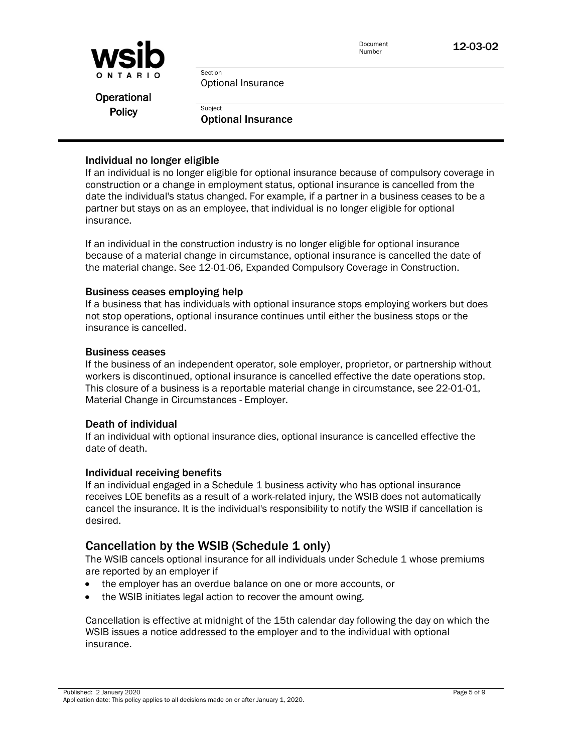

Optional Insurance

Section

**Subject** 

Operational **Policy** 

Optional Insurance

#### Individual no longer eligible

If an individual is no longer eligible for optional insurance because of compulsory coverage in construction or a change in employment status, optional insurance is cancelled from the date the individual's status changed. For example, if a partner in a business ceases to be a partner but stays on as an employee, that individual is no longer eligible for optional insurance.

If an individual in the construction industry is no longer eligible for optional insurance because of a material change in circumstance, optional insurance is cancelled the date of the material change. See [12-01-06, Expanded Compulsory Coverage in Construction.](http://www.wsib.on.ca/WSIBPortal/faces/WSIBManualPage?cGUID=12-01-06&rDef=WSIB_RD_OPM&fGUID=835502100635000482)

#### Business ceases employing help

If a business that has individuals with optional insurance stops employing workers but does not stop operations, optional insurance continues until either the business stops or the insurance is cancelled.

#### Business ceases

If the business of an independent operator, sole employer, proprietor, or partnership without workers is discontinued, optional insurance is cancelled effective the date operations stop. This closure of a business is a reportable material change in circumstance, see [22-01-01,](http://www.wsib.on.ca/WSIBPortal/faces/WSIBManualPage?cGUID=22-01-01&rDef=WSIB_RD_OPM&fGUID=835502100635000534)  [Material Change in Circumstances -](http://www.wsib.on.ca/WSIBPortal/faces/WSIBManualPage?cGUID=22-01-01&rDef=WSIB_RD_OPM&fGUID=835502100635000534) Employer.

#### Death of individual

If an individual with optional insurance dies, optional insurance is cancelled effective the date of death.

#### Individual receiving benefits

If an individual engaged in a Schedule 1 business activity who has optional insurance receives LOE benefits as a result of a work-related injury, the WSIB does not automatically cancel the insurance. It is the individual's responsibility to notify the WSIB if cancellation is desired.

### Cancellation by the WSIB (Schedule 1 only)

The WSIB cancels optional insurance for all individuals under Schedule 1 whose premiums are reported by an employer if

- the employer has an overdue balance on one or more accounts, or
- the WSIB initiates legal action to recover the amount owing.

Cancellation is effective at midnight of the 15th calendar day following the day on which the WSIB issues a notice addressed to the employer and to the individual with optional insurance.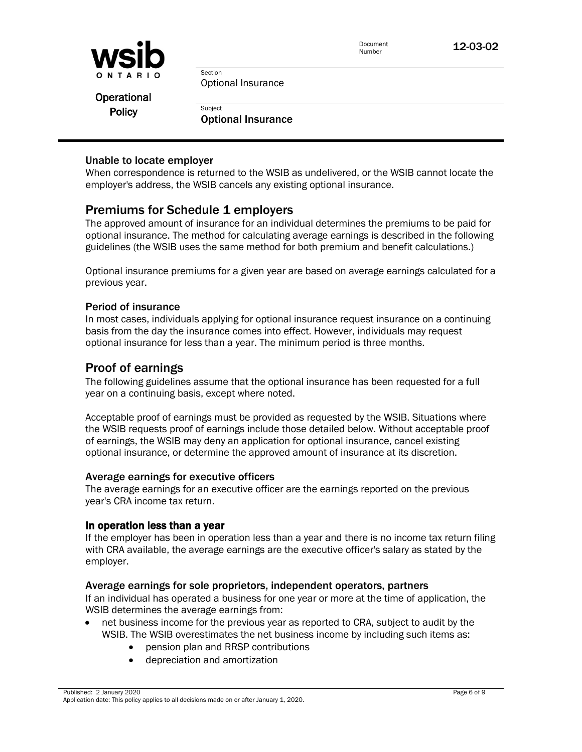

12-03-02

Operational **Policy** 

Optional Insurance

Section

**Subject** 

Optional Insurance

### Unable to locate employer

When correspondence is returned to the WSIB as undelivered, or the WSIB cannot locate the employer's address, the WSIB cancels any existing optional insurance.

### Premiums for Schedule 1 employers

The approved amount of insurance for an individual determines the premiums to be paid for optional insurance. The method for calculating average earnings is described in the following guidelines (the WSIB uses the same method for both premium and benefit calculations.)

Optional insurance premiums for a given year are based on average earnings calculated for a previous year.

### Period of insurance

In most cases, individuals applying for optional insurance request insurance on a continuing basis from the day the insurance comes into effect. However, individuals may request optional insurance for less than a year. The minimum period is three months.

### Proof of earnings

The following guidelines assume that the optional insurance has been requested for a full year on a continuing basis, except where noted.

Acceptable proof of earnings must be provided as requested by the WSIB. Situations where the WSIB requests proof of earnings include those detailed below. Without acceptable proof of earnings, the WSIB may deny an application for optional insurance, cancel existing optional insurance, or determine the approved amount of insurance at its discretion.

#### Average earnings for executive officers

The average earnings for an executive officer are the earnings reported on the previous year's CRA income tax return.

#### In operation less than a year

If the employer has been in operation less than a year and there is no income tax return filing with CRA available, the average earnings are the executive officer's salary as stated by the employer.

#### Average earnings for sole proprietors, independent operators, partners

If an individual has operated a business for one year or more at the time of application, the WSIB determines the average earnings from:

- net business income for the previous year as reported to CRA, subject to audit by the WSIB. The WSIB overestimates the net business income by including such items as:
	- pension plan and RRSP contributions
	- depreciation and amortization

Published: 2 January 2020 Page 6 of 9 Application date: This policy applies to all decisions made on or after January 1, 2020.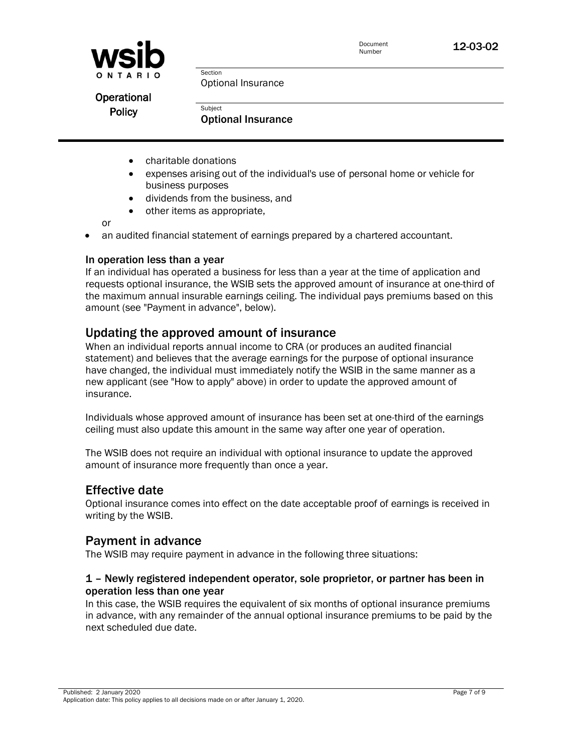

Operational **Policy** 

Optional Insurance

**Subject** Optional Insurance

- charitable donations
- expenses arising out of the individual's use of personal home or vehicle for business purposes
- dividends from the business, and

Section

• other items as appropriate,

or

• an audited financial statement of earnings prepared by a chartered accountant.

#### In operation less than a year

If an individual has operated a business for less than a year at the time of application and requests optional insurance, the WSIB sets the approved amount of insurance at one-third of the maximum annual insurable earnings ceiling. The individual pays premiums based on this amount (see "Payment in advance", below).

### Updating the approved amount of insurance

When an individual reports annual income to CRA (or produces an audited financial statement) and believes that the average earnings for the purpose of optional insurance have changed, the individual must immediately notify the WSIB in the same manner as a new applicant (see "How to apply" above) in order to update the approved amount of insurance.

Individuals whose approved amount of insurance has been set at one-third of the earnings ceiling must also update this amount in the same way after one year of operation.

The WSIB does not require an individual with optional insurance to update the approved amount of insurance more frequently than once a year.

### Effective date

Optional insurance comes into effect on the date acceptable proof of earnings is received in writing by the WSIB.

### Payment in advance

The WSIB may require payment in advance in the following three situations:

### 1 – Newly registered independent operator, sole proprietor, or partner has been in operation less than one year

In this case, the WSIB requires the equivalent of six months of optional insurance premiums in advance, with any remainder of the annual optional insurance premiums to be paid by the next scheduled due date.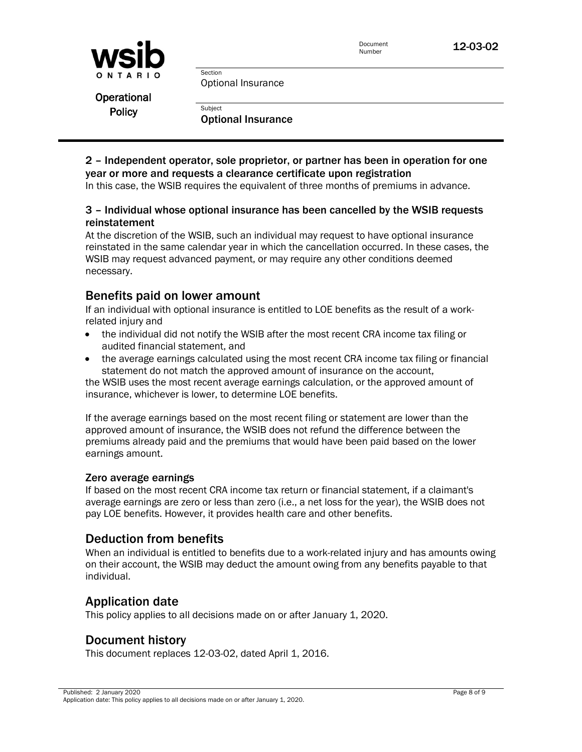| Document |  |
|----------|--|
| Number   |  |



Optional Insurance

Section

**Subject** 

| Operational   |
|---------------|
| <b>Policy</b> |

Optional Insurance

### 2 – Independent operator, sole proprietor, or partner has been in operation for one year or more and requests a clearance certificate upon registration

In this case, the WSIB requires the equivalent of three months of premiums in advance.

### 3 – Individual whose optional insurance has been cancelled by the WSIB requests reinstatement

At the discretion of the WSIB, such an individual may request to have optional insurance reinstated in the same calendar year in which the cancellation occurred. In these cases, the WSIB may request advanced payment, or may require any other conditions deemed necessary.

### Benefits paid on lower amount

If an individual with optional insurance is entitled to LOE benefits as the result of a workrelated injury and

- the individual did not notify the WSIB after the most recent CRA income tax filing or audited financial statement, and
- the average earnings calculated using the most recent CRA income tax filing or financial statement do not match the approved amount of insurance on the account,

the WSIB uses the most recent average earnings calculation, or the approved amount of insurance, whichever is lower, to determine LOE benefits.

If the average earnings based on the most recent filing or statement are lower than the approved amount of insurance, the WSIB does not refund the difference between the premiums already paid and the premiums that would have been paid based on the lower earnings amount.

#### Zero average earnings

If based on the most recent CRA income tax return or financial statement, if a claimant's average earnings are zero or less than zero (i.e., a net loss for the year), the WSIB does not pay LOE benefits. However, it provides health care and other benefits.

### Deduction from benefits

When an individual is entitled to benefits due to a work-related injury and has amounts owing on their account, the WSIB may deduct the amount owing from any benefits payable to that individual.

### Application date

This policy applies to all decisions made on or after January 1, 2020.

### Document history

This document replaces 12-03-02, dated April 1, 2016.